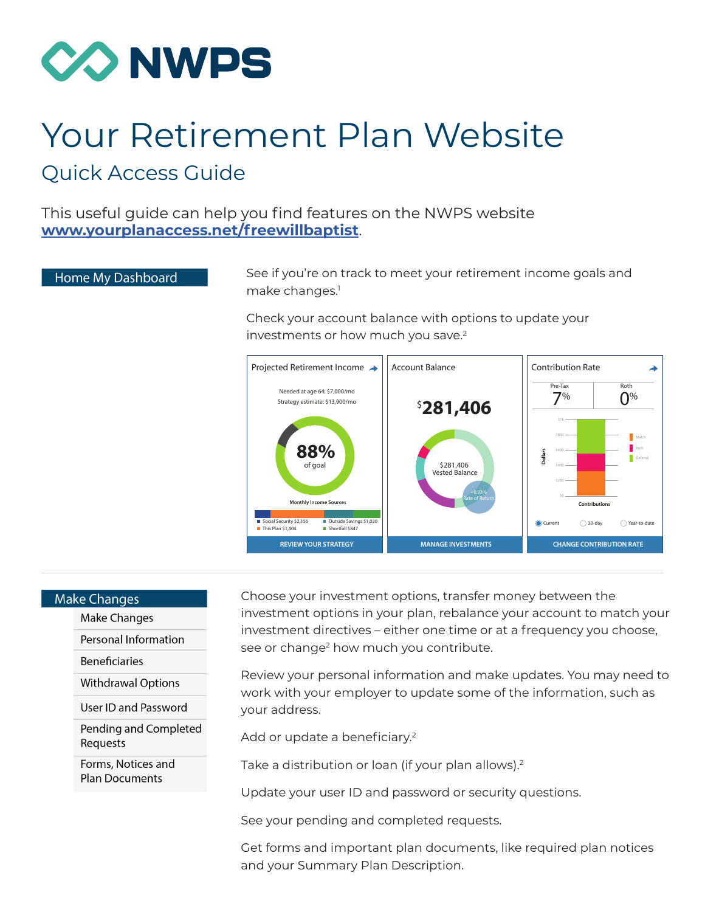

## Your Retirement Plan Website Quick Access Guide

This useful guide can help you find features on the NWPS website **[www.yourplanaccess.net/freewillbaptist](http://www.yourplanaccess.net/freewillbaptist)**.

## Home My Dashboard

See if you're on track to meet your retirement income goals and make changes.<sup>1</sup>

Check your account balance with options to update your investments or how much you save.<sup>2</sup>



## **Make Changes**

Make Changes

Personal Information

**Beneficiaries** 

**Withdrawal Options** 

User ID and Password

Pending and Completed Requests

Forms. Notices and **Plan Documents** 

Choose your investment options, transfer money between the investment options in your plan, rebalance your account to match your investment directives – either one time or at a frequency you choose, see or change<sup>2</sup> how much you contribute.

Review your personal information and make updates. You may need to work with your employer to update some of the information, such as your address.

Add or update a beneficiary.<sup>2</sup>

Take a distribution or loan (if your plan allows).<sup>2</sup>

Update your user ID and password or security questions.

See your pending and completed requests.

Get forms and important plan documents, like required plan notices and your Summary Plan Description.